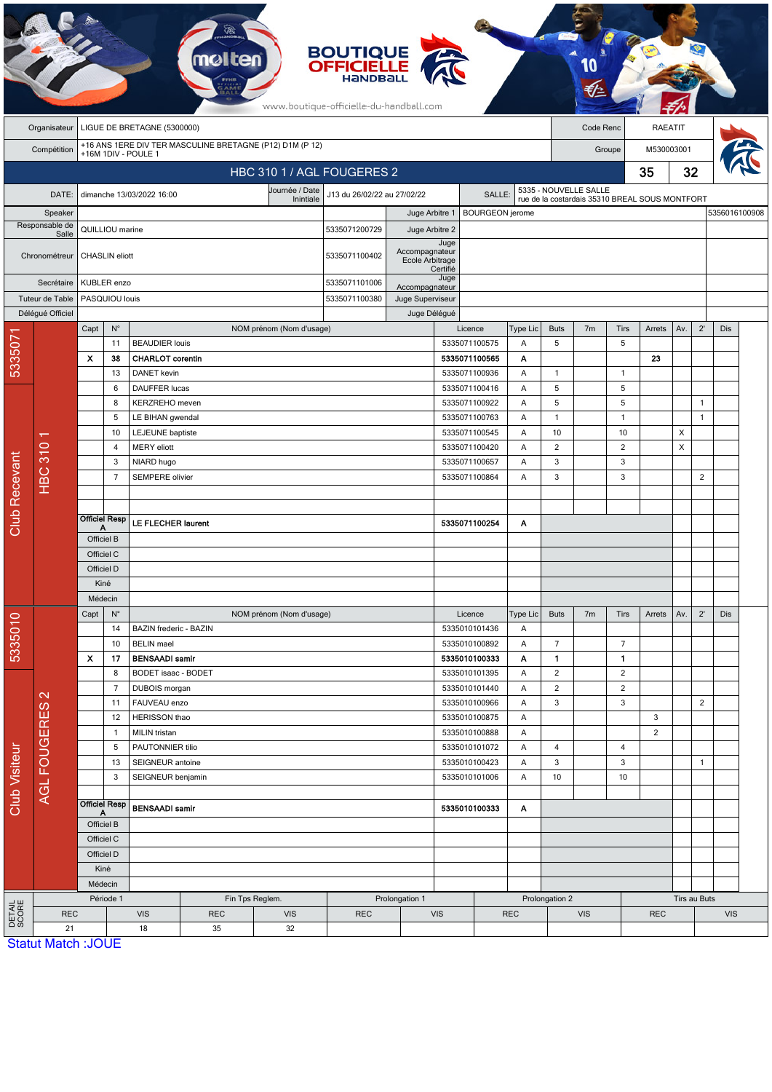|                      |                                                   |                                                          |                           |                                               |                                             |                             | <b>BOUTIQUE<br/>OFFICIELLE</b><br>www.boutique-officielle-du-handball.com |                                   |                    |                                |                                            |                                                                         |                |                |                            |              |                |               |  |
|----------------------|---------------------------------------------------|----------------------------------------------------------|---------------------------|-----------------------------------------------|---------------------------------------------|-----------------------------|---------------------------------------------------------------------------|-----------------------------------|--------------------|--------------------------------|--------------------------------------------|-------------------------------------------------------------------------|----------------|----------------|----------------------------|--------------|----------------|---------------|--|
|                      | Organisateur                                      | LIGUE DE BRETAGNE (5300000)<br>Code Renc                 |                           |                                               |                                             |                             |                                                                           |                                   |                    |                                |                                            | <b>RAEATIT</b>                                                          |                |                |                            |              |                |               |  |
|                      | Compétition                                       | +16 ANS 1ERE DIV TER MASCULINE BRETAGNE (P12) D1M (P 12) |                           |                                               |                                             |                             |                                                                           |                                   |                    |                                |                                            | Groupe                                                                  |                |                |                            | M530003001   |                |               |  |
|                      | +16M 1DIV - POULE 1<br>HBC 310 1 / AGL FOUGERES 2 |                                                          |                           |                                               |                                             |                             |                                                                           |                                   |                    |                                |                                            |                                                                         | 35             |                |                            |              |                |               |  |
|                      |                                                   |                                                          |                           |                                               |                                             |                             |                                                                           |                                   |                    |                                |                                            |                                                                         |                | 32             |                            |              |                |               |  |
|                      | DATE:                                             |                                                          |                           | dimanche 13/03/2022 16:00                     |                                             | Journée / Date<br>Inintiale | J13 du 26/02/22 au 27/02/22                                               |                                   |                    | SALLE:                         |                                            | 5335 - NOUVELLE SALLE<br>rue de la costardais 35310 BREAL SOUS MONTFORT |                |                |                            |              |                |               |  |
|                      | Speaker                                           |                                                          |                           |                                               |                                             |                             |                                                                           | Juge Arbitre 1                    |                    | <b>BOURGEON</b> jerome         |                                            |                                                                         |                |                |                            |              |                | 5356016100908 |  |
|                      | Responsable de<br>Salle                           |                                                          | QUILLIOU marine           |                                               |                                             | 5335071200729               | Juge Arbitre 2                                                            |                                   |                    |                                |                                            |                                                                         |                |                |                            |              |                |               |  |
|                      | Chronométreur                                     |                                                          | CHASLIN eliott            |                                               |                                             |                             | 5335071100402                                                             | Accompagnateur<br>Ecole Arbitrage | Juge<br>Certifié   |                                |                                            |                                                                         |                |                |                            |              |                |               |  |
|                      | Secrétaire                                        |                                                          | KUBLER enzo               |                                               |                                             | 5335071101006               | Accompagnateur                                                            | Juge                              |                    |                                |                                            |                                                                         |                |                |                            |              |                |               |  |
|                      | Tuteur de Table                                   | PASQUIOU louis                                           |                           |                                               |                                             |                             | 5335071100380                                                             | Juge Superviseur                  |                    |                                |                                            |                                                                         |                |                |                            |              |                |               |  |
|                      | Déléqué Officiel                                  |                                                          |                           |                                               |                                             |                             |                                                                           | Juge Délégué                      |                    |                                |                                            |                                                                         |                |                |                            |              |                |               |  |
|                      |                                                   | Capt                                                     | $N^{\circ}$               |                                               |                                             | NOM prénom (Nom d'usage)    |                                                                           |                                   |                    | Licence                        | Type Lic                                   | <b>Buts</b>                                                             | 7 <sub>m</sub> | <b>Tirs</b>    | Arrets                     | Av.          | $2^{\prime}$   | Dis           |  |
| 5335071              |                                                   |                                                          | 11                        | <b>BEAUDIER louis</b>                         |                                             |                             |                                                                           |                                   |                    | 5335071100575                  | A                                          | 5                                                                       |                | 5              |                            |              |                |               |  |
|                      |                                                   | x                                                        | 38<br>13                  | <b>CHARLOT</b> corentin<br><b>DANET</b> kevin |                                             |                             |                                                                           |                                   |                    | 5335071100565<br>5335071100936 | Α<br>Α                                     | 1                                                                       |                | $\mathbf{1}$   | 23                         |              |                |               |  |
|                      |                                                   |                                                          | 6                         | DAUFFER lucas                                 |                                             |                             |                                                                           |                                   |                    | 5335071100416                  | Α                                          | 5                                                                       |                | 5              |                            |              |                |               |  |
|                      |                                                   |                                                          | 8                         | KERZREHO meven                                |                                             |                             |                                                                           |                                   |                    | 5335071100922                  | Α                                          | 5                                                                       |                | 5              |                            |              | $\mathbf{1}$   |               |  |
|                      |                                                   |                                                          | 5<br>LE BIHAN gwendal     |                                               |                                             |                             |                                                                           |                                   | 5335071100763      | A                              | $\mathbf{1}$                               |                                                                         | $\mathbf{1}$   |                |                            | $\mathbf{1}$ |                |               |  |
|                      |                                                   |                                                          | 10                        | <b>LEJEUNE</b> baptiste                       |                                             | 5335071100545<br>Α          |                                                                           |                                   | 10                 |                                | 10                                         |                                                                         | X              |                |                            |              |                |               |  |
|                      |                                                   |                                                          | $\overline{4}$            | <b>MERY</b> eliott                            |                                             |                             |                                                                           |                                   |                    | 5335071100420                  | Α                                          | $\overline{2}$                                                          |                | $\overline{2}$ |                            | X            |                |               |  |
|                      |                                                   |                                                          | 3                         | NIARD hugo                                    |                                             |                             |                                                                           |                                   |                    | 5335071100657<br>Α             |                                            |                                                                         |                | 3              |                            |              |                |               |  |
|                      | <b>HBC 310</b>                                    |                                                          | $\overline{7}$            | <b>SEMPERE</b> olivier                        |                                             |                             |                                                                           |                                   |                    | 5335071100864                  | Α                                          | 3                                                                       |                | 3              |                            |              | $\overline{2}$ |               |  |
| <b>Club Recevant</b> |                                                   |                                                          |                           |                                               |                                             |                             |                                                                           |                                   |                    |                                |                                            |                                                                         |                |                |                            |              |                |               |  |
|                      |                                                   |                                                          | <b>Officiel Resp</b>      |                                               |                                             |                             |                                                                           |                                   |                    |                                |                                            |                                                                         |                |                |                            |              |                |               |  |
|                      |                                                   | А                                                        |                           | <b>LE FLECHER laurent</b>                     |                                             |                             |                                                                           |                                   | 5335071100254<br>Α |                                |                                            |                                                                         |                |                |                            |              |                |               |  |
|                      |                                                   | Officiel B<br>Officiel C                                 |                           |                                               |                                             |                             |                                                                           |                                   |                    |                                |                                            |                                                                         |                |                |                            |              |                |               |  |
|                      |                                                   | Officiel D                                               |                           |                                               |                                             |                             |                                                                           |                                   |                    |                                |                                            |                                                                         |                |                |                            |              |                |               |  |
|                      |                                                   | Kiné                                                     |                           |                                               |                                             |                             |                                                                           |                                   |                    |                                |                                            |                                                                         |                |                |                            |              |                |               |  |
|                      |                                                   | Médecin                                                  |                           |                                               |                                             |                             |                                                                           |                                   |                    |                                |                                            |                                                                         |                |                |                            |              |                |               |  |
|                      |                                                   | Capt                                                     | $N^{\circ}$               |                                               |                                             | NOM prénom (Nom d'usage)    |                                                                           |                                   |                    | Licence                        | <b>Type Lic</b>                            | <b>Buts</b>                                                             | 7 <sub>m</sub> | <b>Tirs</b>    | Arrets                     | Av.          | $2^{\prime}$   | Dis           |  |
| 5335010              |                                                   |                                                          | 14                        | BAZIN frederic - BAZIN                        |                                             |                             |                                                                           |                                   |                    | 5335010101436                  | Α                                          |                                                                         |                |                |                            |              |                |               |  |
|                      |                                                   |                                                          | 10                        | <b>BELIN</b> mael                             |                                             |                             |                                                                           |                                   |                    | 5335010100892                  | Α                                          | $\overline{7}$                                                          |                | $\overline{7}$ |                            |              |                |               |  |
|                      |                                                   | X                                                        | 17                        | <b>BENSAADI</b> samir                         |                                             |                             |                                                                           |                                   |                    | 5335010100333                  | Α                                          | $\mathbf{1}$                                                            |                | 1              |                            |              |                |               |  |
| Club Visiteur        | $\mathbf{\Omega}$<br><b>AGL FOUGERES</b>          |                                                          | 8                         | <b>BODET</b> isaac - BODET                    |                                             |                             |                                                                           |                                   |                    | 5335010101395                  | Α                                          | $\overline{2}$                                                          |                | $\sqrt{2}$     |                            |              |                |               |  |
|                      |                                                   |                                                          | $\overline{7}$            | DUBOIS morgan                                 |                                             |                             |                                                                           |                                   |                    | 5335010101440                  | A                                          | $\overline{c}$                                                          |                | $\overline{2}$ |                            |              |                |               |  |
|                      |                                                   |                                                          | 11                        | FAUVEAU enzo                                  | 5335010100966                               |                             |                                                                           | Α                                 | 3                  |                                | $\sqrt{3}$                                 |                                                                         |                | $\overline{2}$ |                            |              |                |               |  |
|                      |                                                   |                                                          | 12<br>$\overline{1}$      | HERISSON thao                                 |                                             |                             |                                                                           |                                   |                    | 5335010100875<br>5335010100888 | Α<br>Α                                     |                                                                         |                |                | 3<br>$\overline{2}$        |              |                |               |  |
|                      |                                                   |                                                          | 5                         | MILIN tristan<br>PAUTONNIER tilio             |                                             |                             |                                                                           |                                   |                    | 5335010101072                  | Α                                          | 4                                                                       |                | $\overline{4}$ |                            |              |                |               |  |
|                      |                                                   |                                                          | 13<br>SEIGNEUR antoine    |                                               |                                             |                             |                                                                           | 5335010100423<br>Α                |                    |                                | 3                                          |                                                                         | $\sqrt{3}$     |                |                            | $\mathbf{1}$ |                |               |  |
|                      |                                                   |                                                          | 3<br>SEIGNEUR benjamin    |                                               |                                             |                             |                                                                           |                                   | 5335010101006      |                                | Α                                          | 10                                                                      |                | 10             |                            |              |                |               |  |
|                      |                                                   |                                                          |                           |                                               |                                             |                             |                                                                           |                                   |                    |                                |                                            |                                                                         |                |                |                            |              |                |               |  |
|                      |                                                   |                                                          | <b>Officiel Resp</b><br>A | <b>BENSAADI samir</b>                         |                                             |                             | 5335010100333                                                             |                                   |                    | A                              |                                            |                                                                         |                |                |                            |              |                |               |  |
|                      |                                                   | Officiel B<br>Officiel C<br>Officiel D                   |                           |                                               |                                             |                             |                                                                           |                                   |                    |                                |                                            |                                                                         |                |                |                            |              |                |               |  |
|                      |                                                   |                                                          |                           |                                               |                                             |                             |                                                                           |                                   |                    |                                |                                            |                                                                         |                |                |                            |              |                |               |  |
|                      |                                                   |                                                          |                           |                                               |                                             |                             |                                                                           |                                   |                    |                                |                                            |                                                                         |                |                |                            |              |                |               |  |
|                      |                                                   |                                                          | Kiné                      |                                               |                                             |                             |                                                                           |                                   |                    |                                |                                            |                                                                         |                |                |                            |              |                |               |  |
|                      |                                                   | Médecin                                                  |                           |                                               |                                             |                             |                                                                           |                                   |                    |                                |                                            |                                                                         |                |                |                            |              |                |               |  |
| DETAIL<br>SCORE      | <b>REC</b>                                        | Période 1                                                |                           | <b>VIS</b>                                    | Fin Tps Reglem.<br><b>REC</b><br><b>VIS</b> |                             |                                                                           | Prolongation 1<br><b>REC</b>      |                    |                                | Prolongation 2<br><b>VIS</b><br><b>REC</b> |                                                                         |                |                | Tirs au Buts<br><b>REC</b> |              |                | <b>VIS</b>    |  |
|                      | 21                                                |                                                          |                           | 18<br>35                                      |                                             | 32                          |                                                                           |                                   |                    |                                |                                            |                                                                         | <b>VIS</b>     |                |                            |              |                |               |  |
|                      | <b>Statut Match: JOUE</b>                         |                                                          |                           |                                               |                                             |                             |                                                                           |                                   |                    |                                |                                            |                                                                         |                |                |                            |              |                |               |  |